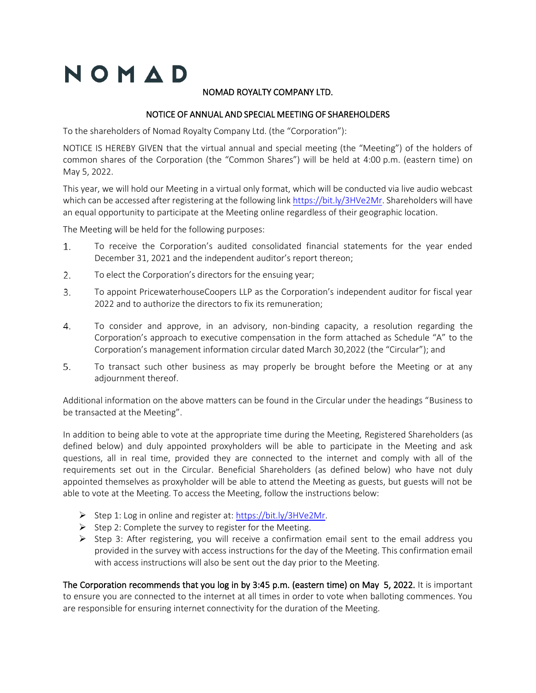# NOMAD

# NOMAD ROYALTY COMPANY LTD.

# NOTICE OF ANNUAL AND SPECIAL MEETING OF SHAREHOLDERS

To the shareholders of Nomad Royalty Company Ltd. (the "Corporation"):

NOTICE IS HEREBY GIVEN that the virtual annual and special meeting (the "Meeting") of the holders of common shares of the Corporation (the "Common Shares") will be held at 4:00 p.m. (eastern time) on May 5, 2022.

This year, we will hold our Meeting in a virtual only format, which will be conducted via live audio webcast which can be accessed after registering at the following link https://bit.ly/3HVe2Mr. Shareholders will have an equal opportunity to participate at the Meeting online regardless of their geographic location.

The Meeting will be held for the following purposes:

- $1.$ To receive the Corporation's audited consolidated financial statements for the year ended December 31, 2021 and the independent auditor's report thereon;
- 2. To elect the Corporation's directors for the ensuing year;
- To appoint PricewaterhouseCoopers LLP as the Corporation's independent auditor for fiscal year 3. 2022 and to authorize the directors to fix its remuneration;
- $4.$ To consider and approve, in an advisory, non-binding capacity, a resolution regarding the Corporation's approach to executive compensation in the form attached as Schedule "A" to the Corporation's management information circular dated March 30,2022 (the "Circular"); and
- 5. To transact such other business as may properly be brought before the Meeting or at any adjournment thereof.

Additional information on the above matters can be found in the Circular under the headings "Business to be transacted at the Meeting".

In addition to being able to vote at the appropriate time during the Meeting, Registered Shareholders (as defined below) and duly appointed proxyholders will be able to participate in the Meeting and ask questions, all in real time, provided they are connected to the internet and comply with all of the requirements set out in the Circular. Beneficial Shareholders (as defined below) who have not duly appointed themselves as proxyholder will be able to attend the Meeting as guests, but guests will not be able to vote at the Meeting. To access the Meeting, follow the instructions below:

- ➢ Step 1: Log in online and register at: https://bit.ly/3HVe2Mr.
- ➢ Step 2: Complete the survey to register for the Meeting.
- ➢ Step 3: After registering, you will receive a confirmation email sent to the email address you provided in the survey with access instructions for the day of the Meeting. This confirmation email with access instructions will also be sent out the day prior to the Meeting.

The Corporation recommends that you log in by 3:45 p.m. (eastern time) on May 5, 2022. It is important to ensure you are connected to the internet at all times in order to vote when balloting commences. You are responsible for ensuring internet connectivity for the duration of the Meeting.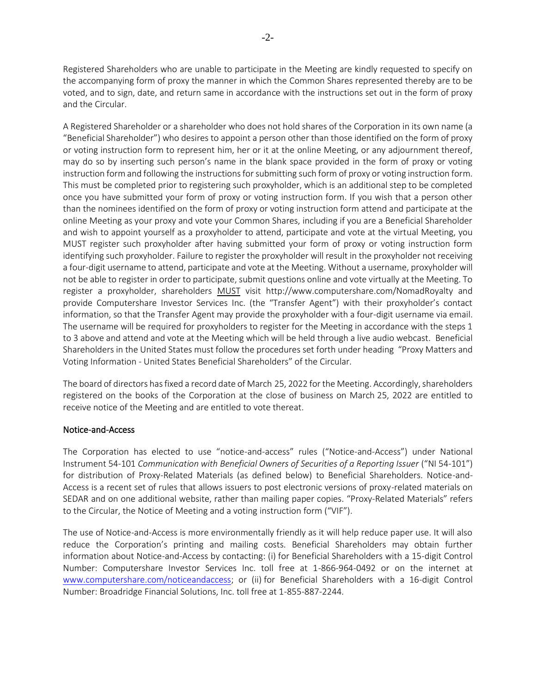Registered Shareholders who are unable to participate in the Meeting are kindly requested to specify on the accompanying form of proxy the manner in which the Common Shares represented thereby are to be voted, and to sign, date, and return same in accordance with the instructions set out in the form of proxy and the Circular.

A Registered Shareholder or a shareholder who does not hold shares of the Corporation in its own name (a "Beneficial Shareholder") who desires to appoint a person other than those identified on the form of proxy or voting instruction form to represent him, her or it at the online Meeting, or any adjournment thereof, may do so by inserting such person's name in the blank space provided in the form of proxy or voting instruction form and following the instructions for submitting such form of proxy or voting instruction form. This must be completed prior to registering such proxyholder, which is an additional step to be completed once you have submitted your form of proxy or voting instruction form. If you wish that a person other than the nominees identified on the form of proxy or voting instruction form attend and participate at the online Meeting as your proxy and vote your Common Shares, including if you are a Beneficial Shareholder and wish to appoint yourself as a proxyholder to attend, participate and vote at the virtual Meeting, you MUST register such proxyholder after having submitted your form of proxy or voting instruction form identifying such proxyholder. Failure to register the proxyholder will result in the proxyholder not receiving a four-digit username to attend, participate and vote at the Meeting. Without a username, proxyholder will not be able to register in order to participate, submit questions online and vote virtually at the Meeting. To register a proxyholder, shareholders MUST visit http://www.computershare.com/NomadRoyalty and provide Computershare Investor Services Inc. (the "Transfer Agent") with their proxyholder's contact information, so that the Transfer Agent may provide the proxyholder with a four-digit username via email. The username will be required for proxyholders to register for the Meeting in accordance with the steps 1 to 3 above and attend and vote at the Meeting which will be held through a live audio webcast. Beneficial Shareholders in the United States must follow the procedures set forth under heading "Proxy Matters and Voting Information - United States Beneficial Shareholders" of the Circular.

The board of directors has fixed a record date of March 25, 2022 for the Meeting. Accordingly, shareholders registered on the books of the Corporation at the close of business on March 25, 2022 are entitled to receive notice of the Meeting and are entitled to vote thereat.

#### Notice-and-Access

The Corporation has elected to use "notice-and-access" rules ("Notice-and-Access") under National Instrument 54-101 *Communication with Beneficial Owners of Securities of a Reporting Issuer* ("NI 54-101") for distribution of Proxy-Related Materials (as defined below) to Beneficial Shareholders. Notice-and-Access is a recent set of rules that allows issuers to post electronic versions of proxy-related materials on SEDAR and on one additional website, rather than mailing paper copies. "Proxy-Related Materials" refers to the Circular, the Notice of Meeting and a voting instruction form ("VIF").

The use of Notice-and-Access is more environmentally friendly as it will help reduce paper use. It will also reduce the Corporation's printing and mailing costs. Beneficial Shareholders may obtain further information about Notice-and-Access by contacting: (i) for Beneficial Shareholders with a 15-digit Control Number: Computershare Investor Services Inc. toll free at 1-866-964-0492 or on the internet at [www.computershare.com/noticeandaccess;](http://www.computershare.com/noticeandaccess) or (ii) for Beneficial Shareholders with a 16-digit Control Number: Broadridge Financial Solutions, Inc. toll free at 1-855-887-2244.